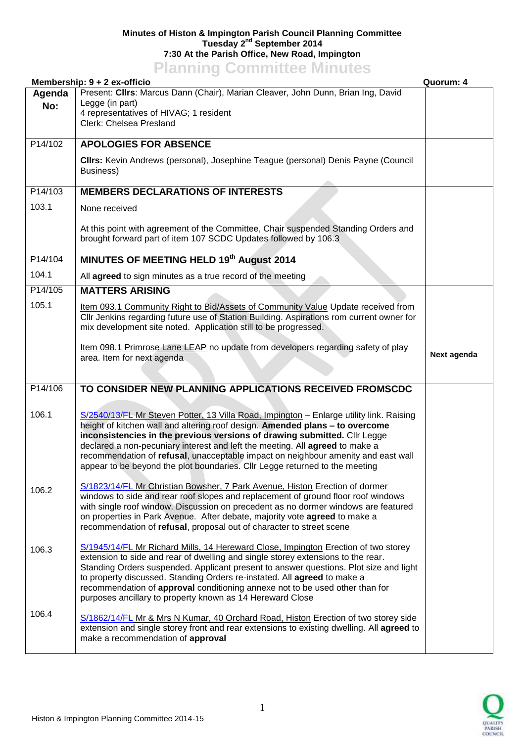## **Minutes of Histon & Impington Parish Council Planning Committee Tuesday 2 nd September 2014 7:30 At the Parish Office, New Road, Impington Planning Committee Minutes**

|         | <b>I KILING COMMITTED MILLATES</b><br>Membership: 9 + 2 ex-officio                                                                                                              | Quorum: 4   |
|---------|---------------------------------------------------------------------------------------------------------------------------------------------------------------------------------|-------------|
| Agenda  | Present: Clirs: Marcus Dann (Chair), Marian Cleaver, John Dunn, Brian Ing, David                                                                                                |             |
| No:     | Legge (in part)                                                                                                                                                                 |             |
|         | 4 representatives of HIVAG; 1 resident<br>Clerk: Chelsea Presland                                                                                                               |             |
|         |                                                                                                                                                                                 |             |
| P14/102 | <b>APOLOGIES FOR ABSENCE</b>                                                                                                                                                    |             |
|         | CIIrs: Kevin Andrews (personal), Josephine Teague (personal) Denis Payne (Council                                                                                               |             |
|         | Business)                                                                                                                                                                       |             |
| P14/103 | <b>MEMBERS DECLARATIONS OF INTERESTS</b>                                                                                                                                        |             |
| 103.1   | None received                                                                                                                                                                   |             |
|         |                                                                                                                                                                                 |             |
|         | At this point with agreement of the Committee, Chair suspended Standing Orders and<br>brought forward part of item 107 SCDC Updates followed by 106.3                           |             |
|         |                                                                                                                                                                                 |             |
| P14/104 | MINUTES OF MEETING HELD 19th August 2014                                                                                                                                        |             |
| 104.1   | All agreed to sign minutes as a true record of the meeting                                                                                                                      |             |
| P14/105 | <b>MATTERS ARISING</b>                                                                                                                                                          |             |
| 105.1   | Item 093.1 Community Right to Bid/Assets of Community Value Update received from                                                                                                |             |
|         | Cllr Jenkins regarding future use of Station Building. Aspirations rom current owner for                                                                                        |             |
|         | mix development site noted. Application still to be progressed.                                                                                                                 |             |
|         | Item 098.1 Primrose Lane LEAP no update from developers regarding safety of play                                                                                                |             |
|         | area. Item for next agenda                                                                                                                                                      | Next agenda |
|         |                                                                                                                                                                                 |             |
| P14/106 | TO CONSIDER NEW PLANNING APPLICATIONS RECEIVED FROMSCDC                                                                                                                         |             |
|         |                                                                                                                                                                                 |             |
| 106.1   | S/2540/13/FL Mr Steven Potter, 13 Villa Road, Impington - Enlarge utility link. Raising                                                                                         |             |
|         | height of kitchen wall and altering roof design. Amended plans - to overcome<br>inconsistencies in the previous versions of drawing submitted. Cllr Legge                       |             |
|         | declared a non-pecuniary interest and left the meeting. All agreed to make a                                                                                                    |             |
|         | recommendation of refusal, unacceptable impact on neighbour amenity and east wall                                                                                               |             |
|         | appear to be beyond the plot boundaries. Cllr Legge returned to the meeting                                                                                                     |             |
| 106.2   | S/1823/14/FL Mr Christian Bowsher, 7 Park Avenue, Histon Erection of dormer                                                                                                     |             |
|         | windows to side and rear roof slopes and replacement of ground floor roof windows                                                                                               |             |
|         | with single roof window. Discussion on precedent as no dormer windows are featured<br>on properties in Park Avenue. After debate, majority vote agreed to make a                |             |
|         | recommendation of refusal, proposal out of character to street scene                                                                                                            |             |
|         | S/1945/14/FL Mr Richard Mills, 14 Hereward Close, Impington Erection of two storey                                                                                              |             |
| 106.3   | extension to side and rear of dwelling and single storey extensions to the rear.                                                                                                |             |
|         | Standing Orders suspended. Applicant present to answer questions. Plot size and light                                                                                           |             |
|         | to property discussed. Standing Orders re-instated. All agreed to make a                                                                                                        |             |
|         | recommendation of approval conditioning annexe not to be used other than for<br>purposes ancillary to property known as 14 Hereward Close                                       |             |
| 106.4   |                                                                                                                                                                                 |             |
|         | S/1862/14/FL Mr & Mrs N Kumar, 40 Orchard Road, Histon Erection of two storey side<br>extension and single storey front and rear extensions to existing dwelling. All agreed to |             |
|         | make a recommendation of approval                                                                                                                                               |             |
|         |                                                                                                                                                                                 |             |